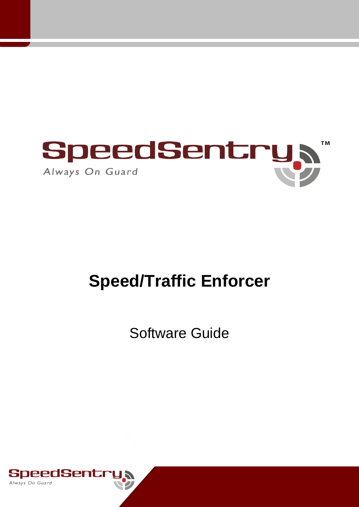

# **Speed/Traffic Enforcer**

Software Guide

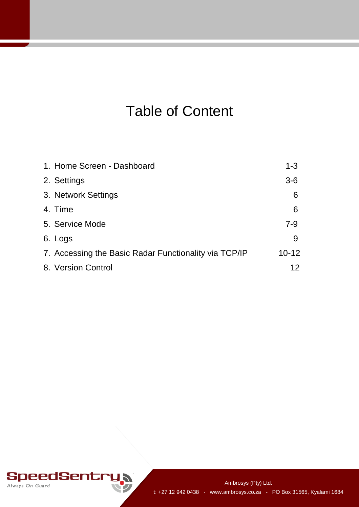## Table of Content

| 1. Home Screen - Dashboard                            | $1 - 3$   |
|-------------------------------------------------------|-----------|
| 2. Settings                                           | $3-6$     |
| 3. Network Settings                                   | 6         |
| 4. Time                                               | 6         |
| 5. Service Mode                                       | $7-9$     |
| 6. Logs                                               | 9         |
| 7. Accessing the Basic Radar Functionality via TCP/IP | $10 - 12$ |
| 8. Version Control                                    | 12        |

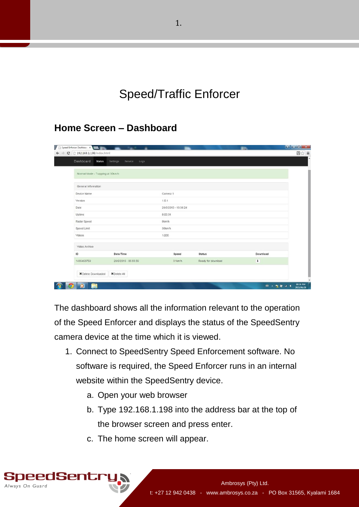Speed/Traffic Enforcer

#### **Home Screen – Dashboard**

| Dashboard<br><b>Status</b>       | Settings<br>Service<br>Logs |                      |                    |          |
|----------------------------------|-----------------------------|----------------------|--------------------|----------|
| Normal Mode - Trapping at 30km/h |                             |                      |                    |          |
| General Information              |                             |                      |                    |          |
| Device Name                      |                             | Camera 1             |                    |          |
| Version                          |                             | 1.0.1                |                    |          |
| Date                             |                             | 28/6/2015 - 18:38:24 |                    |          |
| Uptime                           |                             | 0:03:31              |                    |          |
| Radar Speed                      |                             | Okm/h                |                    |          |
| Speed Limit                      |                             | 30km/h               |                    |          |
| Videos                           |                             | 1/200                |                    |          |
| Video Archive                    |                             |                      |                    |          |
| ID                               | Date/Time                   | Speed                | <b>Status</b>      | Download |
| 1435463759                       | 28/6/2015 - 05:55:59        | 31km/h               | Ready for download | $\ddag$  |
| X Delete Downloaded              | X Delete All                |                      |                    |          |

The dashboard shows all the information relevant to the operation of the Speed Enforcer and displays the status of the SpeedSentry camera device at the time which it is viewed.

- 1. Connect to SpeedSentry Speed Enforcement software. No software is required, the Speed Enforcer runs in an internal website within the SpeedSentry device.
	- a. Open your web browser
	- b. Type 192.168.1.198 into the address bar at the top of the browser screen and press enter.
	- c. The home screen will appear.

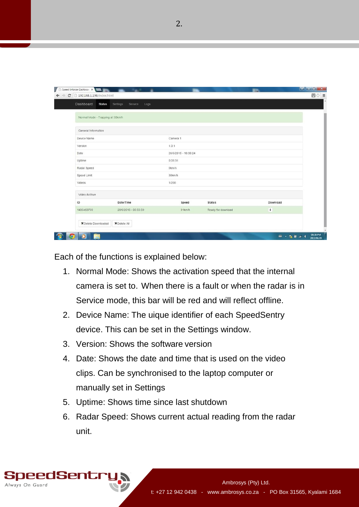| Dashboard<br><b>Status</b>       | Settings<br>Service<br>Logs |                      |                    |                      |  |
|----------------------------------|-----------------------------|----------------------|--------------------|----------------------|--|
|                                  |                             |                      |                    |                      |  |
| Normal Mode - Trapping at 30km/h |                             |                      |                    |                      |  |
| General Information              |                             |                      |                    |                      |  |
| Device Name                      |                             | Camera 1             |                    |                      |  |
| Version                          |                             | 1.0.1                |                    |                      |  |
| Date                             |                             | 28/6/2015 - 18:38:24 |                    |                      |  |
| Uptime                           |                             | 0:03:31              |                    |                      |  |
| Radar Speed                      |                             | Okm/h                |                    |                      |  |
| Speed Limit                      |                             | 30km/h               |                    |                      |  |
| Videos                           |                             | 1/200                |                    |                      |  |
| Video Archive                    |                             |                      |                    |                      |  |
| ID                               | Date/Time                   | Speed                | <b>Status</b>      | Download             |  |
| 1435463759                       | 28/6/2015 - 05:55:59        | 31km/h               | Ready for download | $\ddot{\phantom{1}}$ |  |
| X Delete Downloaded              | X Delete All                |                      |                    |                      |  |

Each of the functions is explained below:

- 1. Normal Mode: Shows the activation speed that the internal camera is set to. When there is a fault or when the radar is in Service mode, this bar will be red and will reflect offline.
- 2. Device Name: The uique identifier of each SpeedSentry device. This can be set in the Settings window.
- 3. Version: Shows the software version
- 4. Date: Shows the date and time that is used on the video clips. Can be synchronised to the laptop computer or manually set in Settings
- 5. Uptime: Shows time since last shutdown
- 6. Radar Speed: Shows current actual reading from the radar unit.

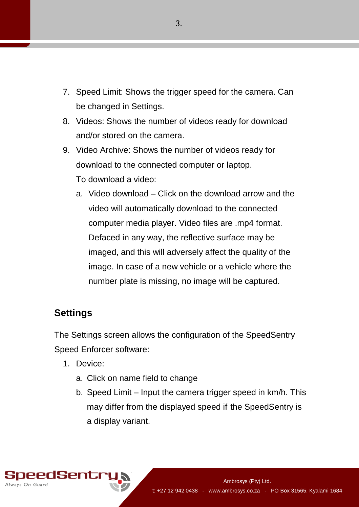- 7. Speed Limit: Shows the trigger speed for the camera. Can be changed in Settings.
- 8. Videos: Shows the number of videos ready for download and/or stored on the camera.
- 9. Video Archive: Shows the number of videos ready for download to the connected computer or laptop. To download a video:
	- a. Video download Click on the download arrow and the video will automatically download to the connected computer media player. Video files are .mp4 format. Defaced in any way, the reflective surface may be imaged, and this will adversely affect the quality of the image. In case of a new vehicle or a vehicle where the number plate is missing, no image will be captured.

#### **Settings**

The Settings screen allows the configuration of the SpeedSentry Speed Enforcer software:

- 1. Device:
	- a. Click on name field to change
	- b. Speed Limit Input the camera trigger speed in km/h. This may differ from the displayed speed if the SpeedSentry is a display variant.

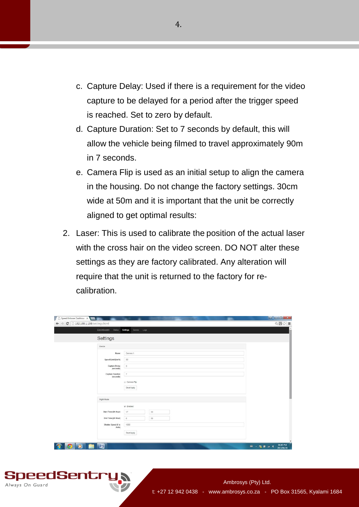- c. Capture Delay: Used if there is a requirement for the video capture to be delayed for a period after the trigger speed is reached. Set to zero by default.
- d. Capture Duration: Set to 7 seconds by default, this will allow the vehicle being filmed to travel approximately 90m in 7 seconds.
- e. Camera Flip is used as an initial setup to align the camera in the housing. Do not change the factory settings. 30cm wide at 50m and it is important that the unit be correctly aligned to get optimal results:
- 2. Laser: This is used to calibrate the position of the actual laser with the cross hair on the video screen. DO NOT alter these settings as they are factory calibrated. Any alteration will require that the unit is returned to the factory for recalibration.

| 192.168.1.198/settings.html<br>Dashboard<br><b>Status</b><br>Settings<br>Service Logs                                                                        | Q四☆ 三 |
|--------------------------------------------------------------------------------------------------------------------------------------------------------------|-------|
| Settings                                                                                                                                                     |       |
| Device                                                                                                                                                       |       |
| Camera 1<br>Name<br>30<br>Speed Limit (km/h)<br>Capture Delay<br>$\circ$<br>(seconds)<br>Capture Duration<br>$\tau$<br>(seconds)<br>Camera Fip<br>Save/Apply |       |
| Night Mode                                                                                                                                                   |       |
| ie Enabled<br>Start Time (24 Hour)<br>$17\,$<br>30<br>End Time (24 Hour)<br>30<br>$\mathbf{6}$<br>1000<br>Shutter Speed (0 is<br>Auto)<br>Save/Apply         |       |

peedSentr

Always On Guard

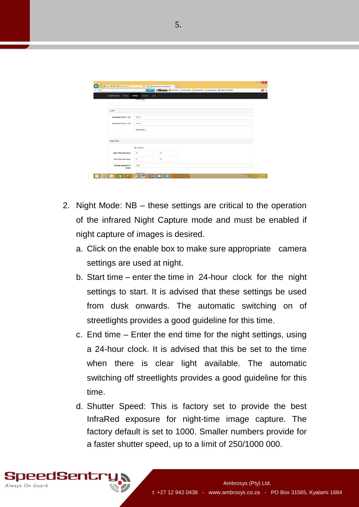| Fittp://192.168.1.198/settings.html |                                                                                                                                                        | $-0$<br><b>A * 0</b>                                                                                         |
|-------------------------------------|--------------------------------------------------------------------------------------------------------------------------------------------------------|--------------------------------------------------------------------------------------------------------------|
| $\times$ $\rho$                     | $D = C$ Speed Enforcer Dashboard $\quad \times$<br>COMMETER C Countoid C Convert Files ( Popular Sites C Entertainment D Listen to the Radio<br>Search | O %                                                                                                          |
| Dashboard<br>Status.                | Settings<br>Service<br>Logs                                                                                                                            |                                                                                                              |
|                                     | <b>Stephandor</b>                                                                                                                                      |                                                                                                              |
|                                     |                                                                                                                                                        |                                                                                                              |
| Laser                               |                                                                                                                                                        |                                                                                                              |
| Crosshair X (0.0 - 1.0)             | 0.515                                                                                                                                                  |                                                                                                              |
| Crosshair Y (0.0 - 1.0)             | 0.535                                                                                                                                                  |                                                                                                              |
|                                     | Save/Apply                                                                                                                                             |                                                                                                              |
| Night Mode                          |                                                                                                                                                        |                                                                                                              |
|                                     | P Enabled                                                                                                                                              |                                                                                                              |
| Start Time (24 Hour)                | 17<br>30                                                                                                                                               |                                                                                                              |
| End Time (24 Hour)                  | $_{6}$<br>30                                                                                                                                           |                                                                                                              |
| Shutter Speed (0 is<br>Auto)        | 1000                                                                                                                                                   |                                                                                                              |
| $\ddot{\phantom{0}}$<br>o<br>е      | 14,000<br>医<br>$\mathbf{w}$<br>ø<br>ll Si<br>◘                                                                                                         | $\sim 70 \, \mathrm{M_\odot} \cdot 10^{-1037 \, \mathrm{AM}}_{\mathrm{206 \, \mathrm{SM}} \cdot \mathrm{M}}$ |

- 2. Night Mode: NB these settings are critical to the operation of the infrared Night Capture mode and must be enabled if night capture of images is desired.
	- a. Click on the enable box to make sure appropriate camera settings are used at night.
	- b. Start time enter the time in 24-hour clock for the night settings to start. It is advised that these settings be used from dusk onwards. The automatic switching on of streetlights provides a good guideline for this time.
	- c. End time Enter the end time for the night settings, using a 24-hour clock. It is advised that this be set to the time when there is clear light available. The automatic switching off streetlights provides a good guideline for this time.
	- d. Shutter Speed: This is factory set to provide the best InfraRed exposure for night-time image capture. The factory default is set to 1000. Smaller numbers provide for a faster shutter speed, up to a limit of 250/1000 000.

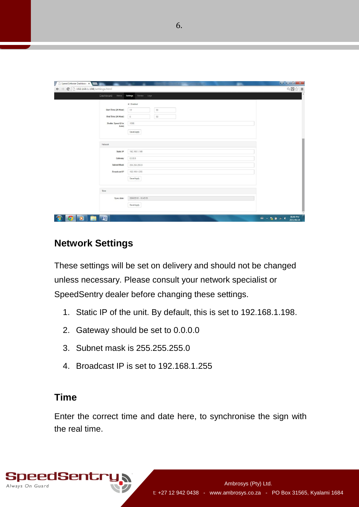| Dashboard | Status Settings      | Service Logs         |  |
|-----------|----------------------|----------------------|--|
|           |                      |                      |  |
|           |                      | Enabled              |  |
|           | Start Time (24 Hour) | $17\,$<br>$30\,$     |  |
|           | End Time (24 Hour)   | $_{\rm 6}$<br>30     |  |
|           | Shutter Speed (0 is  | 1000                 |  |
|           | Auto)                |                      |  |
|           |                      | Save/Apply           |  |
|           |                      |                      |  |
| Network   |                      |                      |  |
|           | Static IP            | 192.168.1.198        |  |
|           |                      |                      |  |
|           | Gateway              | 0.0.0.0              |  |
|           | Subnet Mask          | 255.255.255.0        |  |
|           | Broadcast IP         | 192.168.1.255        |  |
|           |                      |                      |  |
|           |                      | Save/Apply           |  |
|           |                      |                      |  |
| Time      |                      |                      |  |
|           | Sync date:           | 28/6/2015 - 18:40:53 |  |
|           |                      |                      |  |
|           |                      | Save/Apply           |  |

#### **Network Settings**

These settings will be set on delivery and should not be changed unless necessary. Please consult your network specialist or SpeedSentry dealer before changing these settings.

- 1. Static IP of the unit. By default, this is set to 192.168.1.198.
- 2. Gateway should be set to 0.0.0.0
- 3. Subnet mask is 255.255.255.0
- 4. Broadcast IP is set to 192.168.1.255

#### **Time**

Enter the correct time and date here, to synchronise the sign with the real time.

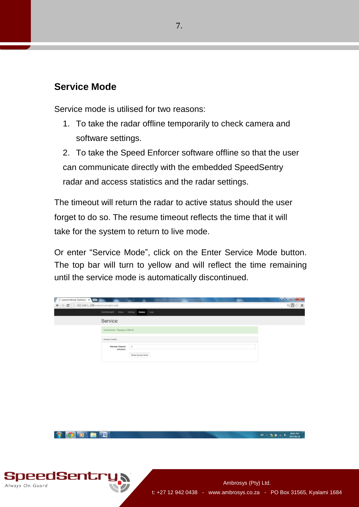#### **Service Mode**

Always On Guard

Service mode is utilised for two reasons:

1. To take the radar offline temporarily to check camera and software settings.

2. To take the Speed Enforcer software offline so that the user can communicate directly with the embedded SpeedSentry radar and access statistics and the radar settings.

The timeout will return the radar to active status should the user forget to do so. The resume timeout reflects the time that it will take for the system to return to live mode.

Or enter "Service Mode", click on the Enter Service Mode button. The top bar will turn to yellow and will reflect the time remaining until the service mode is automatically discontinued.

| Speed Enforcer Dashboard X                               |                                                    |                     |                                            |
|----------------------------------------------------------|----------------------------------------------------|---------------------|--------------------------------------------|
| $\Rightarrow$ $\textsf{C}$ 192.168.1.198/enternormalmode |                                                    |                     | $Q \nabla \times \nabla \times \nabla = 0$ |
|                                                          | Dashboard Status Settings Service<br>Logs          |                     |                                            |
| Service                                                  |                                                    |                     |                                            |
|                                                          |                                                    |                     |                                            |
|                                                          | Normal Mode - Trapping at 30km/h                   |                     |                                            |
| Service Control                                          |                                                    |                     |                                            |
|                                                          | <b>Resume Timeout</b><br>$\mathsf{S}$<br>(minutes) |                     |                                            |
|                                                          | Enter Service Mode                                 |                     |                                            |
|                                                          |                                                    |                     |                                            |
|                                                          |                                                    |                     |                                            |
|                                                          |                                                    |                     |                                            |
|                                                          |                                                    |                     |                                            |
|                                                          |                                                    |                     |                                            |
|                                                          |                                                    |                     |                                            |
|                                                          |                                                    |                     |                                            |
|                                                          |                                                    |                     |                                            |
|                                                          |                                                    |                     |                                            |
|                                                          |                                                    |                     |                                            |
|                                                          |                                                    |                     |                                            |
|                                                          |                                                    |                     |                                            |
| $\bullet$<br>四<br>ē.<br>$\bullet$                        |                                                    |                     | 06:41 PM<br>第三版第四1                         |
|                                                          |                                                    |                     | 2015/06/28                                 |
|                                                          |                                                    |                     |                                            |
|                                                          |                                                    |                     |                                            |
|                                                          |                                                    |                     |                                            |
|                                                          |                                                    |                     |                                            |
|                                                          |                                                    |                     |                                            |
|                                                          |                                                    |                     |                                            |
| <b>JSentry,</b>                                          |                                                    |                     |                                            |
|                                                          |                                                    | Ambrosys (Pty) Ltd. |                                            |

92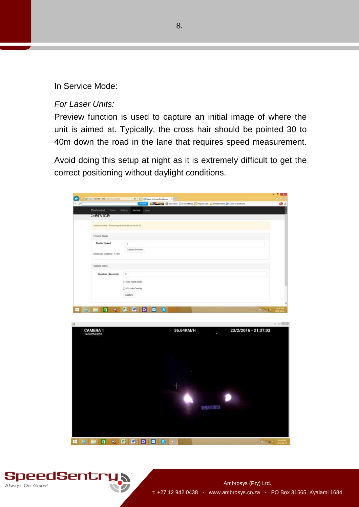In Service Mode:

#### *For Laser Units:*

Preview function is used to capture an initial image of where the unit is aimed at. Typically, the cross hair should be pointed 30 to 40m down the road in the lane that requires speed measurement.

Avoid doing this setup at night as it is extremely difficult to get the correct positioning without daylight conditions.

| Starch.<br><b>Status</b><br>Service<br>Settings<br>Logs<br>Service Mode - Resuming Normal Mode in 04:53<br>Preview Image<br>Shutter Speed<br>$\alpha$<br>Capture Preview<br>Measured Distance: 1.71m<br>Capture Video<br>$\tilde{D}$<br>Duration (Seconds)<br>Use Night Mode<br>Encode Overlay<br>Capture<br>$\blacksquare$<br>酱<br>W.<br>$\bullet$<br>$\bullet$<br><b>II</b> s<br><b>CRESCRIPTION</b><br>M<br>36.64KM/H<br>23/2/2016 - 21:37:03<br><b>CAMERA 1</b> | □ http://792.168.1.198/emman/como6c | P = G Speed Inforcer Dashboard X                                                        |  |
|---------------------------------------------------------------------------------------------------------------------------------------------------------------------------------------------------------------------------------------------------------------------------------------------------------------------------------------------------------------------------------------------------------------------------------------------------------------------|-------------------------------------|-----------------------------------------------------------------------------------------|--|
|                                                                                                                                                                                                                                                                                                                                                                                                                                                                     |                                     | COMMETER @ Download ( Convertibles ( Popular Stes 1) Entertainment ( Lines to the Radio |  |
|                                                                                                                                                                                                                                                                                                                                                                                                                                                                     | Dashboard                           |                                                                                         |  |
|                                                                                                                                                                                                                                                                                                                                                                                                                                                                     | <b>Service</b>                      |                                                                                         |  |
|                                                                                                                                                                                                                                                                                                                                                                                                                                                                     |                                     |                                                                                         |  |
|                                                                                                                                                                                                                                                                                                                                                                                                                                                                     |                                     |                                                                                         |  |
|                                                                                                                                                                                                                                                                                                                                                                                                                                                                     |                                     |                                                                                         |  |
|                                                                                                                                                                                                                                                                                                                                                                                                                                                                     |                                     |                                                                                         |  |
|                                                                                                                                                                                                                                                                                                                                                                                                                                                                     |                                     |                                                                                         |  |
|                                                                                                                                                                                                                                                                                                                                                                                                                                                                     |                                     |                                                                                         |  |
|                                                                                                                                                                                                                                                                                                                                                                                                                                                                     |                                     |                                                                                         |  |
|                                                                                                                                                                                                                                                                                                                                                                                                                                                                     |                                     |                                                                                         |  |
|                                                                                                                                                                                                                                                                                                                                                                                                                                                                     |                                     |                                                                                         |  |
|                                                                                                                                                                                                                                                                                                                                                                                                                                                                     |                                     |                                                                                         |  |
|                                                                                                                                                                                                                                                                                                                                                                                                                                                                     |                                     |                                                                                         |  |
|                                                                                                                                                                                                                                                                                                                                                                                                                                                                     |                                     |                                                                                         |  |
|                                                                                                                                                                                                                                                                                                                                                                                                                                                                     |                                     |                                                                                         |  |
|                                                                                                                                                                                                                                                                                                                                                                                                                                                                     |                                     |                                                                                         |  |
|                                                                                                                                                                                                                                                                                                                                                                                                                                                                     |                                     |                                                                                         |  |
|                                                                                                                                                                                                                                                                                                                                                                                                                                                                     |                                     |                                                                                         |  |
|                                                                                                                                                                                                                                                                                                                                                                                                                                                                     | 1456256223                          |                                                                                         |  |
|                                                                                                                                                                                                                                                                                                                                                                                                                                                                     |                                     |                                                                                         |  |
|                                                                                                                                                                                                                                                                                                                                                                                                                                                                     |                                     |                                                                                         |  |
|                                                                                                                                                                                                                                                                                                                                                                                                                                                                     |                                     |                                                                                         |  |
|                                                                                                                                                                                                                                                                                                                                                                                                                                                                     |                                     |                                                                                         |  |
|                                                                                                                                                                                                                                                                                                                                                                                                                                                                     |                                     |                                                                                         |  |



**Hemas SEO DESO** 

**DIVERTIBLE**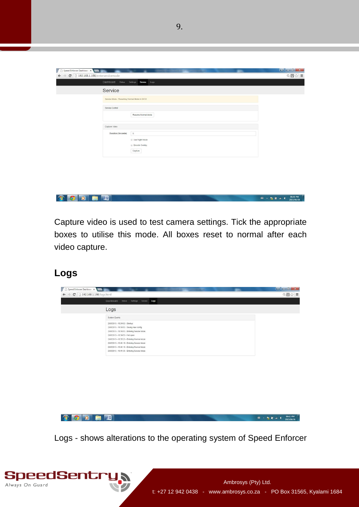| Speed Enforcer Dashboare x                                                     |                                              | ---                | القاردان<br>$\mathbf{x}$ |
|--------------------------------------------------------------------------------|----------------------------------------------|--------------------|--------------------------|
| $\mathbf{C}$   192.168.1.198/enterservicemode<br>$\leftarrow$<br>$\rightarrow$ |                                              |                    | $Q \boxtimes 2 =$        |
|                                                                                | Dashboard Status Settings Service Logs       |                    |                          |
| Service                                                                        |                                              |                    |                          |
|                                                                                | Service Mode - Resuming Normal Mode in 04:53 |                    |                          |
| Service Control                                                                |                                              |                    |                          |
|                                                                                |                                              | Resume Normal Mode |                          |
| Capture Video                                                                  |                                              |                    |                          |
|                                                                                | Duration (Seconds)<br>5                      |                    |                          |
|                                                                                | Use Night Mode<br>Encode Overlay<br>Capture  |                    |                          |
|                                                                                |                                              |                    |                          |

#### **CODE** ■ - 陸 ■ - ● 2015/06/28

Capture video is used to test camera settings. Tick the appropriate boxes to utilise this mode. All boxes reset to normal after each video capture.

### **Logs**

| Dashboard Status Settings Service Logs                                                      |  |
|---------------------------------------------------------------------------------------------|--|
| Logs                                                                                        |  |
| System Events                                                                               |  |
| 28/6/2015 - 18:34:53 - Startup                                                              |  |
| 28/6/2015 - 18:34:53 - Saving new config                                                    |  |
| 28/6/2015 - 18:34:53 - Entering Service Mode                                                |  |
| 28/6/2015 - 18:34:53 - Net open                                                             |  |
| 28/6/2015 - 18:35:23 - Entering Normal Mode                                                 |  |
| 28/6/2015 - 18:41:10 - Entering Service Mode                                                |  |
| 28/6/2015 - 18:41:16 - Entering Normal Mode<br>28/6/2015 - 18:41:35 - Entering Service Mode |  |
|                                                                                             |  |
|                                                                                             |  |

Logs - shows alterations to the operating system of Speed Enforcer

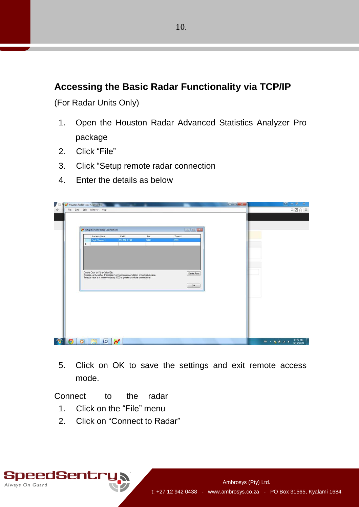### **Accessing the Basic Radar Functionality via TCP/IP**

(For Radar Units Only)

- 1. Open the Houston Radar Advanced Statistics Analyzer Pro package
- 2. Click "File"
- 3. Click "Setup remote radar connection
- 4. Enter the details as below

|                   | M <sup>*</sup> Houston Radar Stats Analyzer Pro                                                                                                                                                               |                       |      |                  | $\begin{array}{c c}\n\hline\n\end{array}$ | $- 0$<br>$\mathbf{x}$      |
|-------------------|---------------------------------------------------------------------------------------------------------------------------------------------------------------------------------------------------------------|-----------------------|------|------------------|-------------------------------------------|----------------------------|
|                   | File Data Edit Window Help                                                                                                                                                                                    |                       |      |                  |                                           | $Q \boxtimes Q \cong Q$    |
|                   |                                                                                                                                                                                                               |                       |      |                  |                                           |                            |
|                   |                                                                                                                                                                                                               |                       |      |                  |                                           |                            |
|                   |                                                                                                                                                                                                               |                       |      |                  |                                           |                            |
|                   | Setup Remote Radar Connections                                                                                                                                                                                |                       |      | <b>To Telexe</b> |                                           |                            |
|                   | LocationName                                                                                                                                                                                                  | IPaddr                | Port | Timeout          |                                           |                            |
|                   | Eagle Canyon 1<br>٠                                                                                                                                                                                           | 192.168.1.198         | 9801 | 1000             |                                           |                            |
|                   | $\ast$                                                                                                                                                                                                        |                       |      |                  |                                           |                            |
|                   |                                                                                                                                                                                                               |                       |      |                  |                                           |                            |
|                   |                                                                                                                                                                                                               |                       |      |                  |                                           |                            |
|                   |                                                                                                                                                                                                               |                       |      |                  |                                           |                            |
|                   |                                                                                                                                                                                                               |                       |      |                  |                                           |                            |
|                   |                                                                                                                                                                                                               |                       |      |                  |                                           |                            |
|                   |                                                                                                                                                                                                               |                       |      |                  |                                           |                            |
|                   |                                                                                                                                                                                                               |                       |      |                  |                                           |                            |
|                   | Double Click (or F2) a Cell to Edit.<br>Address can be either IP address in nnn nnn nnn nnn notation or resolvable name.<br>Timeout value is in milli-seconds (try 5000 or greater for cellular connections). |                       |      | Delete Row       |                                           |                            |
|                   |                                                                                                                                                                                                               |                       |      |                  |                                           |                            |
|                   |                                                                                                                                                                                                               |                       |      |                  |                                           |                            |
|                   |                                                                                                                                                                                                               |                       |      | OK               |                                           |                            |
|                   |                                                                                                                                                                                                               |                       |      |                  |                                           |                            |
|                   |                                                                                                                                                                                                               |                       |      |                  |                                           |                            |
|                   |                                                                                                                                                                                                               |                       |      |                  |                                           |                            |
|                   |                                                                                                                                                                                                               |                       |      |                  |                                           |                            |
|                   |                                                                                                                                                                                                               |                       |      |                  |                                           |                            |
|                   |                                                                                                                                                                                                               |                       |      |                  |                                           |                            |
|                   |                                                                                                                                                                                                               |                       |      |                  |                                           |                            |
|                   |                                                                                                                                                                                                               |                       |      |                  |                                           |                            |
|                   |                                                                                                                                                                                                               |                       |      |                  |                                           |                            |
|                   |                                                                                                                                                                                                               |                       |      |                  |                                           |                            |
|                   |                                                                                                                                                                                                               |                       |      |                  |                                           |                            |
|                   |                                                                                                                                                                                                               |                       |      |                  |                                           |                            |
|                   |                                                                                                                                                                                                               |                       |      |                  |                                           |                            |
|                   |                                                                                                                                                                                                               |                       |      |                  |                                           |                            |
| $\left( 9\right)$ | E<br>些<br>$\bullet$                                                                                                                                                                                           | $\boldsymbol{\gamma}$ |      |                  |                                           | 07:02 PM<br><b>第一版新闻</b> 4 |

5. Click on OK to save the settings and exit remote access mode.

Connect to the radar

- 1. Click on the "File" menu
- 2. Click on "Connect to Radar"

SpeedSentr Always On Guard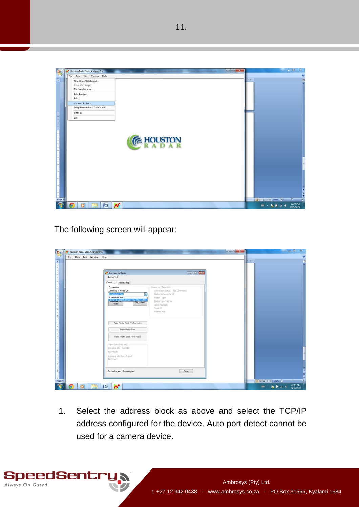

The following screen will appear:

SpeedSentr

Always On Guard

| File Data Edit Window Help |                                                                                                                                                                                                                                                                                                                                                                                                 |                                                           |                                                                                                                                                                                                                                                                                                                                                     |  |
|----------------------------|-------------------------------------------------------------------------------------------------------------------------------------------------------------------------------------------------------------------------------------------------------------------------------------------------------------------------------------------------------------------------------------------------|-----------------------------------------------------------|-----------------------------------------------------------------------------------------------------------------------------------------------------------------------------------------------------------------------------------------------------------------------------------------------------------------------------------------------------|--|
|                            | N Connect to Radar<br>Advanced<br>Connection Radar Setup<br>Connected Radar Info:<br>Connection<br>Connect To Radar On:<br><b>Auto Detect Port</b><br>Radar Software Ver. #<br>σ<br>Auto Detect Port<br>Radar Tag #:<br>REMOTE Eagle Canyon 1(192.168.1.198)<br>Radar Type/HW Ver:<br>Radar<br>State Package:<br>Serial ID:<br>Radar Clock:<br>Sync Radar Clock To Computer<br>Erase Radar Data | <b>PORT OF BUSINE</b><br>Connection Status: Not Connected | $0.18 -$                                                                                                                                                                                                                                                                                                                                            |  |
|                            | Read Traffic Stats From Radar<br>Read State Data Info:<br>Importing Into Project Dir.<br>No Project<br>Importing Into Open Project<br>No Project<br>Connected Via: Disconnected                                                                                                                                                                                                                 | Close                                                     | $\begin{picture}(150,10) \put(0,0){\line(1,0){10}} \put(10,0){\line(1,0){10}} \put(10,0){\line(1,0){10}} \put(10,0){\line(1,0){10}} \put(10,0){\line(1,0){10}} \put(10,0){\line(1,0){10}} \put(10,0){\line(1,0){10}} \put(10,0){\line(1,0){10}} \put(10,0){\line(1,0){10}} \put(10,0){\line(1,0){10}} \put(10,0){\line(1,0){10}} \put(10,0){\line($ |  |

1. Select the address block as above and select the TCP/IP address configured for the device. Auto port detect cannot be used for a camera device.